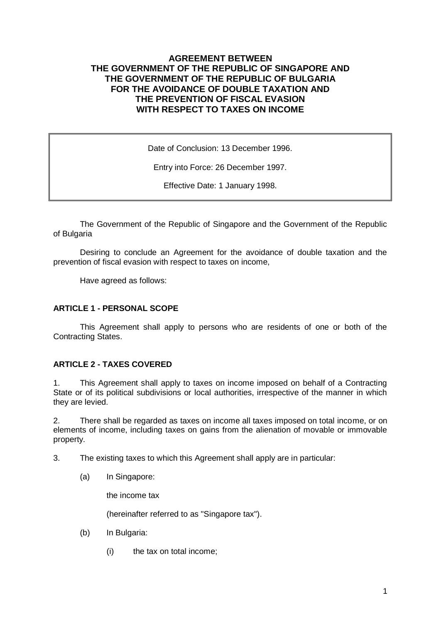## **AGREEMENT BETWEEN THE GOVERNMENT OF THE REPUBLIC OF SINGAPORE AND THE GOVERNMENT OF THE REPUBLIC OF BULGARIA FOR THE AVOIDANCE OF DOUBLE TAXATION AND THE PREVENTION OF FISCAL EVASION WITH RESPECT TO TAXES ON INCOME**

Date of Conclusion: 13 December 1996.

Entry into Force: 26 December 1997.

Effective Date: 1 January 1998.

The Government of the Republic of Singapore and the Government of the Republic of Bulgaria

Desiring to conclude an Agreement for the avoidance of double taxation and the prevention of fiscal evasion with respect to taxes on income,

Have agreed as follows:

#### **ARTICLE 1 - PERSONAL SCOPE**

This Agreement shall apply to persons who are residents of one or both of the Contracting States.

#### **ARTICLE 2 - TAXES COVERED**

1. This Agreement shall apply to taxes on income imposed on behalf of a Contracting State or of its political subdivisions or local authorities, irrespective of the manner in which they are levied.

2. There shall be regarded as taxes on income all taxes imposed on total income, or on elements of income, including taxes on gains from the alienation of movable or immovable property.

3. The existing taxes to which this Agreement shall apply are in particular:

(a) In Singapore:

the income tax

(hereinafter referred to as "Singapore tax").

- (b) In Bulgaria:
	- (i) the tax on total income;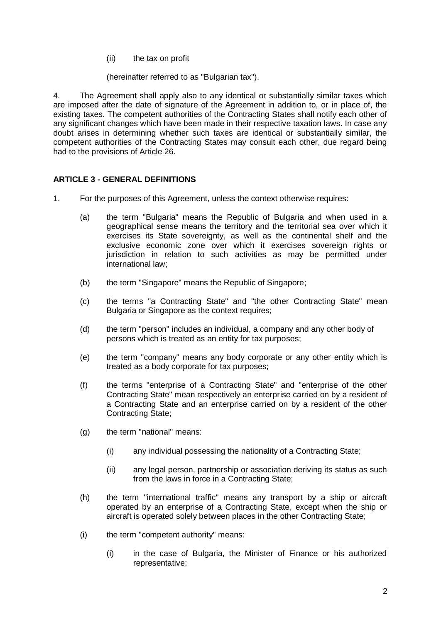(ii) the tax on profit

(hereinafter referred to as "Bulgarian tax").

4. The Agreement shall apply also to any identical or substantially similar taxes which are imposed after the date of signature of the Agreement in addition to, or in place of, the existing taxes. The competent authorities of the Contracting States shall notify each other of any significant changes which have been made in their respective taxation laws. In case any doubt arises in determining whether such taxes are identical or substantially similar, the competent authorities of the Contracting States may consult each other, due regard being had to the provisions of Article 26.

## **ARTICLE 3 - GENERAL DEFINITIONS**

- 1. For the purposes of this Agreement, unless the context otherwise requires:
	- (a) the term "Bulgaria" means the Republic of Bulgaria and when used in a geographical sense means the territory and the territorial sea over which it exercises its State sovereignty, as well as the continental shelf and the exclusive economic zone over which it exercises sovereign rights or jurisdiction in relation to such activities as may be permitted under international law;
	- (b) the term "Singapore" means the Republic of Singapore;
	- (c) the terms "a Contracting State" and "the other Contracting State" mean Bulgaria or Singapore as the context requires;
	- (d) the term "person" includes an individual, a company and any other body of persons which is treated as an entity for tax purposes;
	- (e) the term "company" means any body corporate or any other entity which is treated as a body corporate for tax purposes;
	- (f) the terms "enterprise of a Contracting State" and "enterprise of the other Contracting State" mean respectively an enterprise carried on by a resident of a Contracting State and an enterprise carried on by a resident of the other Contracting State;
	- (g) the term "national" means:
		- (i) any individual possessing the nationality of a Contracting State;
		- (ii) any legal person, partnership or association deriving its status as such from the laws in force in a Contracting State;
	- (h) the term "international traffic" means any transport by a ship or aircraft operated by an enterprise of a Contracting State, except when the ship or aircraft is operated solely between places in the other Contracting State;
	- (i) the term "competent authority" means:
		- (i) in the case of Bulgaria, the Minister of Finance or his authorized representative;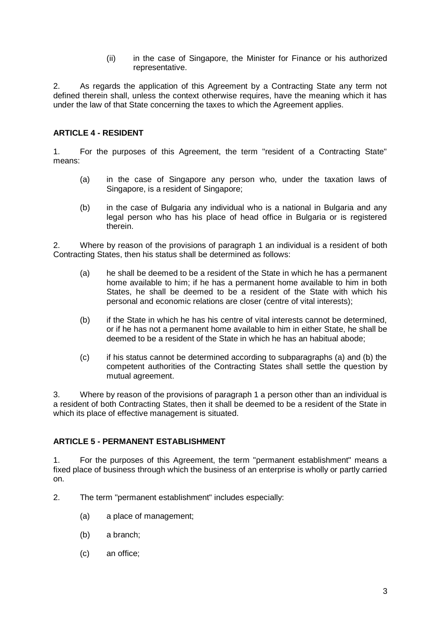(ii) in the case of Singapore, the Minister for Finance or his authorized representative.

2. As regards the application of this Agreement by a Contracting State any term not defined therein shall, unless the context otherwise requires, have the meaning which it has under the law of that State concerning the taxes to which the Agreement applies.

## **ARTICLE 4 - RESIDENT**

1. For the purposes of this Agreement, the term "resident of a Contracting State" means:

- (a) in the case of Singapore any person who, under the taxation laws of Singapore, is a resident of Singapore;
- (b) in the case of Bulgaria any individual who is a national in Bulgaria and any legal person who has his place of head office in Bulgaria or is registered therein.

2. Where by reason of the provisions of paragraph 1 an individual is a resident of both Contracting States, then his status shall be determined as follows:

- (a) he shall be deemed to be a resident of the State in which he has a permanent home available to him; if he has a permanent home available to him in both States, he shall be deemed to be a resident of the State with which his personal and economic relations are closer (centre of vital interests);
- (b) if the State in which he has his centre of vital interests cannot be determined, or if he has not a permanent home available to him in either State, he shall be deemed to be a resident of the State in which he has an habitual abode;
- (c) if his status cannot be determined according to subparagraphs (a) and (b) the competent authorities of the Contracting States shall settle the question by mutual agreement.

3. Where by reason of the provisions of paragraph 1 a person other than an individual is a resident of both Contracting States, then it shall be deemed to be a resident of the State in which its place of effective management is situated.

#### **ARTICLE 5 - PERMANENT ESTABLISHMENT**

1. For the purposes of this Agreement, the term "permanent establishment" means a fixed place of business through which the business of an enterprise is wholly or partly carried on.

- 2. The term "permanent establishment" includes especially:
	- (a) a place of management;
	- (b) a branch;
	- (c) an office;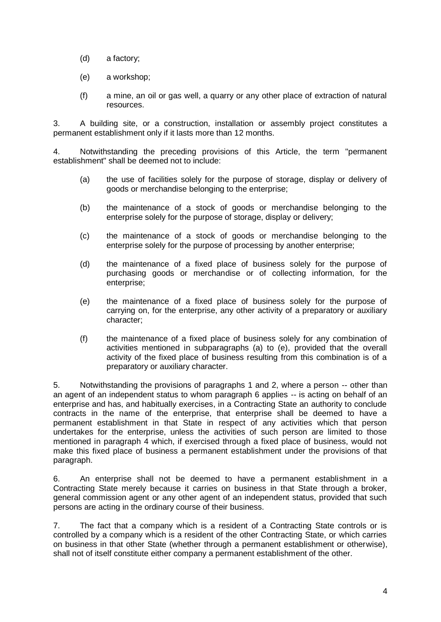- (d) a factory;
- (e) a workshop;
- (f) a mine, an oil or gas well, a quarry or any other place of extraction of natural resources.

3. A building site, or a construction, installation or assembly project constitutes a permanent establishment only if it lasts more than 12 months.

4. Notwithstanding the preceding provisions of this Article, the term "permanent establishment" shall be deemed not to include:

- (a) the use of facilities solely for the purpose of storage, display or delivery of goods or merchandise belonging to the enterprise;
- (b) the maintenance of a stock of goods or merchandise belonging to the enterprise solely for the purpose of storage, display or delivery;
- (c) the maintenance of a stock of goods or merchandise belonging to the enterprise solely for the purpose of processing by another enterprise;
- (d) the maintenance of a fixed place of business solely for the purpose of purchasing goods or merchandise or of collecting information, for the enterprise;
- (e) the maintenance of a fixed place of business solely for the purpose of carrying on, for the enterprise, any other activity of a preparatory or auxiliary character;
- (f) the maintenance of a fixed place of business solely for any combination of activities mentioned in subparagraphs (a) to (e), provided that the overall activity of the fixed place of business resulting from this combination is of a preparatory or auxiliary character.

5. Notwithstanding the provisions of paragraphs 1 and 2, where a person -- other than an agent of an independent status to whom paragraph 6 applies -- is acting on behalf of an enterprise and has, and habitually exercises, in a Contracting State an authority to conclude contracts in the name of the enterprise, that enterprise shall be deemed to have a permanent establishment in that State in respect of any activities which that person undertakes for the enterprise, unless the activities of such person are limited to those mentioned in paragraph 4 which, if exercised through a fixed place of business, would not make this fixed place of business a permanent establishment under the provisions of that paragraph.

6. An enterprise shall not be deemed to have a permanent establishment in a Contracting State merely because it carries on business in that State through a broker, general commission agent or any other agent of an independent status, provided that such persons are acting in the ordinary course of their business.

7. The fact that a company which is a resident of a Contracting State controls or is controlled by a company which is a resident of the other Contracting State, or which carries on business in that other State (whether through a permanent establishment or otherwise), shall not of itself constitute either company a permanent establishment of the other.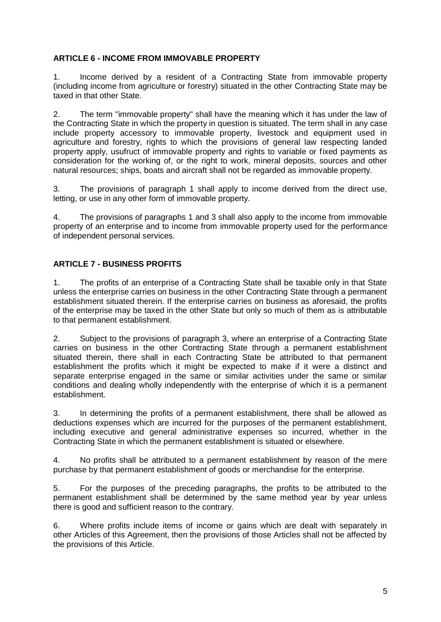### **ARTICLE 6 - INCOME FROM IMMOVABLE PROPERTY**

1. Income derived by a resident of a Contracting State from immovable property (including income from agriculture or forestry) situated in the other Contracting State may be taxed in that other State.

2. The term "immovable property" shall have the meaning which it has under the law of the Contracting State in which the property in question is situated. The term shall in any case include property accessory to immovable property, livestock and equipment used in agriculture and forestry, rights to which the provisions of general law respecting landed property apply, usufruct of immovable property and rights to variable or fixed payments as consideration for the working of, or the right to work, mineral deposits, sources and other natural resources; ships, boats and aircraft shall not be regarded as immovable property.

3. The provisions of paragraph 1 shall apply to income derived from the direct use, letting, or use in any other form of immovable property.

4. The provisions of paragraphs 1 and 3 shall also apply to the income from immovable property of an enterprise and to income from immovable property used for the performance of independent personal services.

### **ARTICLE 7 - BUSINESS PROFITS**

1. The profits of an enterprise of a Contracting State shall be taxable only in that State unless the enterprise carries on business in the other Contracting State through a permanent establishment situated therein. If the enterprise carries on business as aforesaid, the profits of the enterprise may be taxed in the other State but only so much of them as is attributable to that permanent establishment.

2. Subject to the provisions of paragraph 3, where an enterprise of a Contracting State carries on business in the other Contracting State through a permanent establishment situated therein, there shall in each Contracting State be attributed to that permanent establishment the profits which it might be expected to make if it were a distinct and separate enterprise engaged in the same or similar activities under the same or similar conditions and dealing wholly independently with the enterprise of which it is a permanent establishment.

3. In determining the profits of a permanent establishment, there shall be allowed as deductions expenses which are incurred for the purposes of the permanent establishment, including executive and general administrative expenses so incurred, whether in the Contracting State in which the permanent establishment is situated or elsewhere.

4. No profits shall be attributed to a permanent establishment by reason of the mere purchase by that permanent establishment of goods or merchandise for the enterprise.

5. For the purposes of the preceding paragraphs, the profits to be attributed to the permanent establishment shall be determined by the same method year by year unless there is good and sufficient reason to the contrary.

6. Where profits include items of income or gains which are dealt with separately in other Articles of this Agreement, then the provisions of those Articles shall not be affected by the provisions of this Article.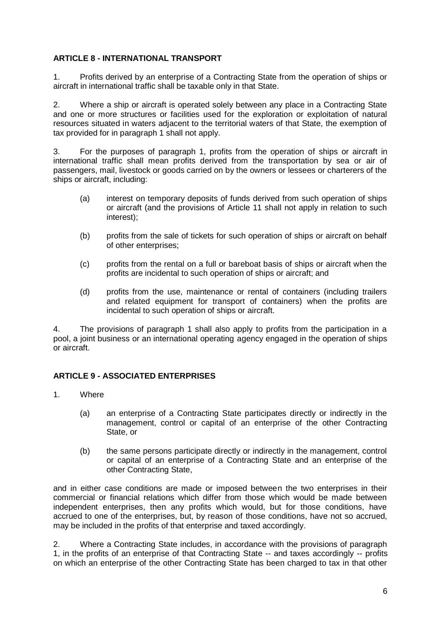## **ARTICLE 8 - INTERNATIONAL TRANSPORT**

1. Profits derived by an enterprise of a Contracting State from the operation of ships or aircraft in international traffic shall be taxable only in that State.

2. Where a ship or aircraft is operated solely between any place in a Contracting State and one or more structures or facilities used for the exploration or exploitation of natural resources situated in waters adjacent to the territorial waters of that State, the exemption of tax provided for in paragraph 1 shall not apply.

3. For the purposes of paragraph 1, profits from the operation of ships or aircraft in international traffic shall mean profits derived from the transportation by sea or air of passengers, mail, livestock or goods carried on by the owners or lessees or charterers of the ships or aircraft, including:

- (a) interest on temporary deposits of funds derived from such operation of ships or aircraft (and the provisions of Article 11 shall not apply in relation to such interest);
- (b) profits from the sale of tickets for such operation of ships or aircraft on behalf of other enterprises;
- (c) profits from the rental on a full or bareboat basis of ships or aircraft when the profits are incidental to such operation of ships or aircraft; and
- (d) profits from the use, maintenance or rental of containers (including trailers and related equipment for transport of containers) when the profits are incidental to such operation of ships or aircraft.

4. The provisions of paragraph 1 shall also apply to profits from the participation in a pool, a joint business or an international operating agency engaged in the operation of ships or aircraft.

## **ARTICLE 9 - ASSOCIATED ENTERPRISES**

- 1. Where
	- (a) an enterprise of a Contracting State participates directly or indirectly in the management, control or capital of an enterprise of the other Contracting State, or
	- (b) the same persons participate directly or indirectly in the management, control or capital of an enterprise of a Contracting State and an enterprise of the other Contracting State,

and in either case conditions are made or imposed between the two enterprises in their commercial or financial relations which differ from those which would be made between independent enterprises, then any profits which would, but for those conditions, have accrued to one of the enterprises, but, by reason of those conditions, have not so accrued, may be included in the profits of that enterprise and taxed accordingly.

2. Where a Contracting State includes, in accordance with the provisions of paragraph 1, in the profits of an enterprise of that Contracting State -- and taxes accordingly -- profits on which an enterprise of the other Contracting State has been charged to tax in that other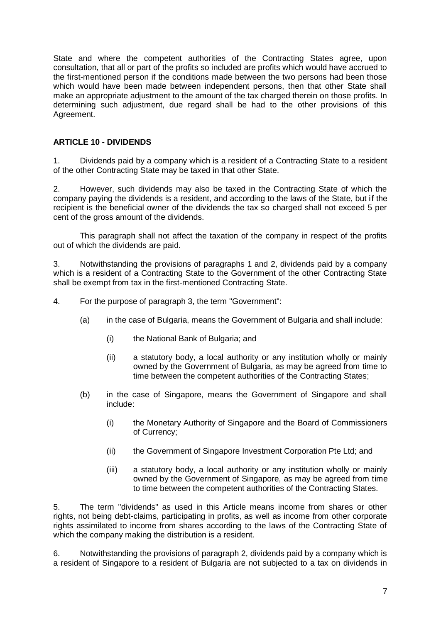State and where the competent authorities of the Contracting States agree, upon consultation, that all or part of the profits so included are profits which would have accrued to the first-mentioned person if the conditions made between the two persons had been those which would have been made between independent persons, then that other State shall make an appropriate adjustment to the amount of the tax charged therein on those profits. In determining such adjustment, due regard shall be had to the other provisions of this Agreement.

### **ARTICLE 10 - DIVIDENDS**

1. Dividends paid by a company which is a resident of a Contracting State to a resident of the other Contracting State may be taxed in that other State.

2. However, such dividends may also be taxed in the Contracting State of which the company paying the dividends is a resident, and according to the laws of the State, but if the recipient is the beneficial owner of the dividends the tax so charged shall not exceed 5 per cent of the gross amount of the dividends.

This paragraph shall not affect the taxation of the company in respect of the profits out of which the dividends are paid.

3. Notwithstanding the provisions of paragraphs 1 and 2, dividends paid by a company which is a resident of a Contracting State to the Government of the other Contracting State shall be exempt from tax in the first-mentioned Contracting State.

4. For the purpose of paragraph 3, the term "Government":

- (a) in the case of Bulgaria, means the Government of Bulgaria and shall include:
	- (i) the National Bank of Bulgaria; and
	- (ii) a statutory body, a local authority or any institution wholly or mainly owned by the Government of Bulgaria, as may be agreed from time to time between the competent authorities of the Contracting States;
- (b) in the case of Singapore, means the Government of Singapore and shall include:
	- (i) the Monetary Authority of Singapore and the Board of Commissioners of Currency;
	- (ii) the Government of Singapore Investment Corporation Pte Ltd; and
	- (iii) a statutory body, a local authority or any institution wholly or mainly owned by the Government of Singapore, as may be agreed from time to time between the competent authorities of the Contracting States.

5. The term "dividends" as used in this Article means income from shares or other rights, not being debt-claims, participating in profits, as well as income from other corporate rights assimilated to income from shares according to the laws of the Contracting State of which the company making the distribution is a resident.

6. Notwithstanding the provisions of paragraph 2, dividends paid by a company which is a resident of Singapore to a resident of Bulgaria are not subjected to a tax on dividends in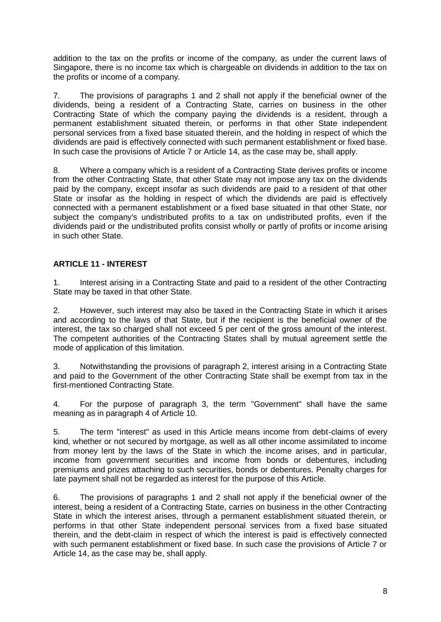addition to the tax on the profits or income of the company, as under the current laws of Singapore, there is no income tax which is chargeable on dividends in addition to the tax on the profits or income of a company.

7. The provisions of paragraphs 1 and 2 shall not apply if the beneficial owner of the dividends, being a resident of a Contracting State, carries on business in the other Contracting State of which the company paying the dividends is a resident, through a permanent establishment situated therein, or performs in that other State independent personal services from a fixed base situated therein, and the holding in respect of which the dividends are paid is effectively connected with such permanent establishment or fixed base. In such case the provisions of Article 7 or Article 14, as the case may be, shall apply.

8. Where a company which is a resident of a Contracting State derives profits or income from the other Contracting State, that other State may not impose any tax on the dividends paid by the company, except insofar as such dividends are paid to a resident of that other State or insofar as the holding in respect of which the dividends are paid is effectively connected with a permanent establishment or a fixed base situated in that other State, nor subject the company's undistributed profits to a tax on undistributed profits, even if the dividends paid or the undistributed profits consist wholly or partly of profits or income arising in such other State.

# **ARTICLE 11 - INTEREST**

1. Interest arising in a Contracting State and paid to a resident of the other Contracting State may be taxed in that other State.

2. However, such interest may also be taxed in the Contracting State in which it arises and according to the laws of that State, but if the recipient is the beneficial owner of the interest, the tax so charged shall not exceed 5 per cent of the gross amount of the interest. The competent authorities of the Contracting States shall by mutual agreement settle the mode of application of this limitation.

3. Notwithstanding the provisions of paragraph 2, interest arising in a Contracting State and paid to the Government of the other Contracting State shall be exempt from tax in the first-mentioned Contracting State.

4. For the purpose of paragraph 3, the term "Government" shall have the same meaning as in paragraph 4 of Article 10.

5. The term "interest" as used in this Article means income from debt-claims of every kind, whether or not secured by mortgage, as well as all other income assimilated to income from money lent by the laws of the State in which the income arises, and in particular, income from government securities and income from bonds or debentures, including premiums and prizes attaching to such securities, bonds or debentures. Penalty charges for late payment shall not be regarded as interest for the purpose of this Article.

6. The provisions of paragraphs 1 and 2 shall not apply if the beneficial owner of the interest, being a resident of a Contracting State, carries on business in the other Contracting State in which the interest arises, through a permanent establishment situated therein, or performs in that other State independent personal services from a fixed base situated therein, and the debt-claim in respect of which the interest is paid is effectively connected with such permanent establishment or fixed base. In such case the provisions of Article 7 or Article 14, as the case may be, shall apply.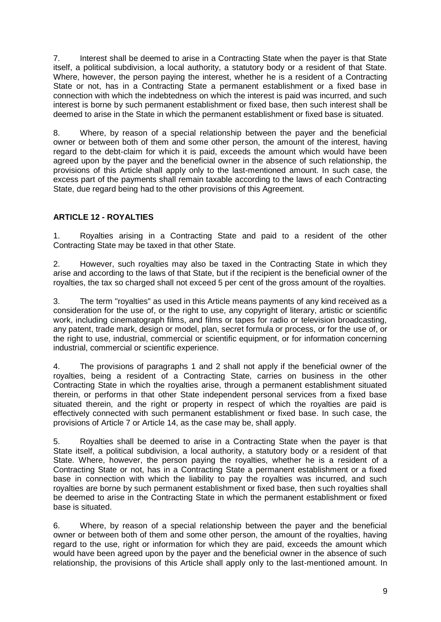7. Interest shall be deemed to arise in a Contracting State when the payer is that State itself, a political subdivision, a local authority, a statutory body or a resident of that State. Where, however, the person paying the interest, whether he is a resident of a Contracting State or not, has in a Contracting State a permanent establishment or a fixed base in connection with which the indebtedness on which the interest is paid was incurred, and such interest is borne by such permanent establishment or fixed base, then such interest shall be deemed to arise in the State in which the permanent establishment or fixed base is situated.

8. Where, by reason of a special relationship between the payer and the beneficial owner or between both of them and some other person, the amount of the interest, having regard to the debt-claim for which it is paid, exceeds the amount which would have been agreed upon by the payer and the beneficial owner in the absence of such relationship, the provisions of this Article shall apply only to the last-mentioned amount. In such case, the excess part of the payments shall remain taxable according to the laws of each Contracting State, due regard being had to the other provisions of this Agreement.

## **ARTICLE 12 - ROYALTIES**

1. Royalties arising in a Contracting State and paid to a resident of the other Contracting State may be taxed in that other State.

2. However, such royalties may also be taxed in the Contracting State in which they arise and according to the laws of that State, but if the recipient is the beneficial owner of the royalties, the tax so charged shall not exceed 5 per cent of the gross amount of the royalties.

3. The term "royalties" as used in this Article means payments of any kind received as a consideration for the use of, or the right to use, any copyright of literary, artistic or scientific work, including cinematograph films, and films or tapes for radio or television broadcasting, any patent, trade mark, design or model, plan, secret formula or process, or for the use of, or the right to use, industrial, commercial or scientific equipment, or for information concerning industrial, commercial or scientific experience.

4. The provisions of paragraphs 1 and 2 shall not apply if the beneficial owner of the royalties, being a resident of a Contracting State, carries on business in the other Contracting State in which the royalties arise, through a permanent establishment situated therein, or performs in that other State independent personal services from a fixed base situated therein, and the right or property in respect of which the royalties are paid is effectively connected with such permanent establishment or fixed base. In such case, the provisions of Article 7 or Article 14, as the case may be, shall apply.

5. Royalties shall be deemed to arise in a Contracting State when the payer is that State itself, a political subdivision, a local authority, a statutory body or a resident of that State. Where, however, the person paying the royalties, whether he is a resident of a Contracting State or not, has in a Contracting State a permanent establishment or a fixed base in connection with which the liability to pay the royalties was incurred, and such royalties are borne by such permanent establishment or fixed base, then such royalties shall be deemed to arise in the Contracting State in which the permanent establishment or fixed base is situated.

6. Where, by reason of a special relationship between the payer and the beneficial owner or between both of them and some other person, the amount of the royalties, having regard to the use, right or information for which they are paid, exceeds the amount which would have been agreed upon by the payer and the beneficial owner in the absence of such relationship, the provisions of this Article shall apply only to the last-mentioned amount. In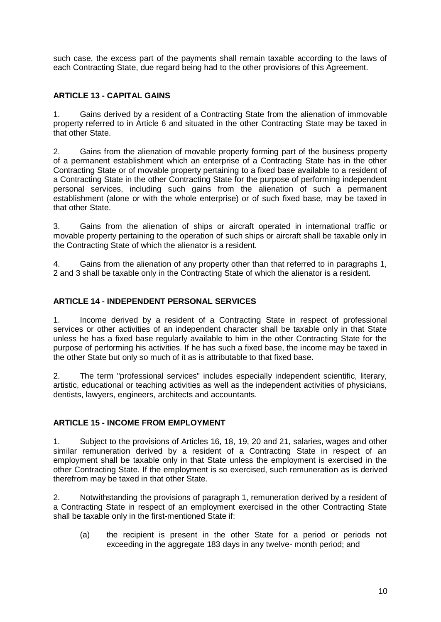such case, the excess part of the payments shall remain taxable according to the laws of each Contracting State, due regard being had to the other provisions of this Agreement.

## **ARTICLE 13 - CAPITAL GAINS**

1. Gains derived by a resident of a Contracting State from the alienation of immovable property referred to in Article 6 and situated in the other Contracting State may be taxed in that other State.

2. Gains from the alienation of movable property forming part of the business property of a permanent establishment which an enterprise of a Contracting State has in the other Contracting State or of movable property pertaining to a fixed base available to a resident of a Contracting State in the other Contracting State for the purpose of performing independent personal services, including such gains from the alienation of such a permanent establishment (alone or with the whole enterprise) or of such fixed base, may be taxed in that other State.

3. Gains from the alienation of ships or aircraft operated in international traffic or movable property pertaining to the operation of such ships or aircraft shall be taxable only in the Contracting State of which the alienator is a resident.

4. Gains from the alienation of any property other than that referred to in paragraphs 1, 2 and 3 shall be taxable only in the Contracting State of which the alienator is a resident.

#### **ARTICLE 14 - INDEPENDENT PERSONAL SERVICES**

1. Income derived by a resident of a Contracting State in respect of professional services or other activities of an independent character shall be taxable only in that State unless he has a fixed base regularly available to him in the other Contracting State for the purpose of performing his activities. If he has such a fixed base, the income may be taxed in the other State but only so much of it as is attributable to that fixed base.

2. The term "professional services" includes especially independent scientific, literary, artistic, educational or teaching activities as well as the independent activities of physicians, dentists, lawyers, engineers, architects and accountants.

#### **ARTICLE 15 - INCOME FROM EMPLOYMENT**

1. Subject to the provisions of Articles 16, 18, 19, 20 and 21, salaries, wages and other similar remuneration derived by a resident of a Contracting State in respect of an employment shall be taxable only in that State unless the employment is exercised in the other Contracting State. If the employment is so exercised, such remuneration as is derived therefrom may be taxed in that other State.

2. Notwithstanding the provisions of paragraph 1, remuneration derived by a resident of a Contracting State in respect of an employment exercised in the other Contracting State shall be taxable only in the first-mentioned State if:

(a) the recipient is present in the other State for a period or periods not exceeding in the aggregate 183 days in any twelve- month period; and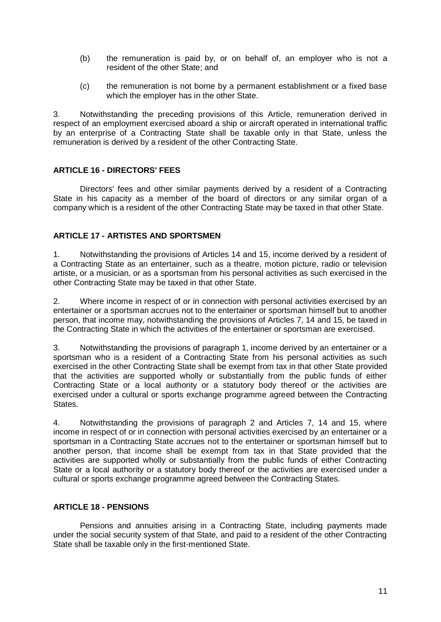- (b) the remuneration is paid by, or on behalf of, an employer who is not a resident of the other State; and
- (c) the remuneration is not borne by a permanent establishment or a fixed base which the employer has in the other State.

3. Notwithstanding the preceding provisions of this Article, remuneration derived in respect of an employment exercised aboard a ship or aircraft operated in international traffic by an enterprise of a Contracting State shall be taxable only in that State, unless the remuneration is derived by a resident of the other Contracting State.

### **ARTICLE 16 - DIRECTORS' FEES**

Directors' fees and other similar payments derived by a resident of a Contracting State in his capacity as a member of the board of directors or any similar organ of a company which is a resident of the other Contracting State may be taxed in that other State.

### **ARTICLE 17 - ARTISTES AND SPORTSMEN**

1. Notwithstanding the provisions of Articles 14 and 15, income derived by a resident of a Contracting State as an entertainer, such as a theatre, motion picture, radio or television artiste, or a musician, or as a sportsman from his personal activities as such exercised in the other Contracting State may be taxed in that other State.

2. Where income in respect of or in connection with personal activities exercised by an entertainer or a sportsman accrues not to the entertainer or sportsman himself but to another person, that income may, notwithstanding the provisions of Articles 7, 14 and 15, be taxed in the Contracting State in which the activities of the entertainer or sportsman are exercised.

3. Notwithstanding the provisions of paragraph 1, income derived by an entertainer or a sportsman who is a resident of a Contracting State from his personal activities as such exercised in the other Contracting State shall be exempt from tax in that other State provided that the activities are supported wholly or substantially from the public funds of either Contracting State or a local authority or a statutory body thereof or the activities are exercised under a cultural or sports exchange programme agreed between the Contracting States.

4. Notwithstanding the provisions of paragraph 2 and Articles 7, 14 and 15, where income in respect of or in connection with personal activities exercised by an entertainer or a sportsman in a Contracting State accrues not to the entertainer or sportsman himself but to another person, that income shall be exempt from tax in that State provided that the activities are supported wholly or substantially from the public funds of either Contracting State or a local authority or a statutory body thereof or the activities are exercised under a cultural or sports exchange programme agreed between the Contracting States.

#### **ARTICLE 18 - PENSIONS**

Pensions and annuities arising in a Contracting State, including payments made under the social security system of that State, and paid to a resident of the other Contracting State shall be taxable only in the first-mentioned State.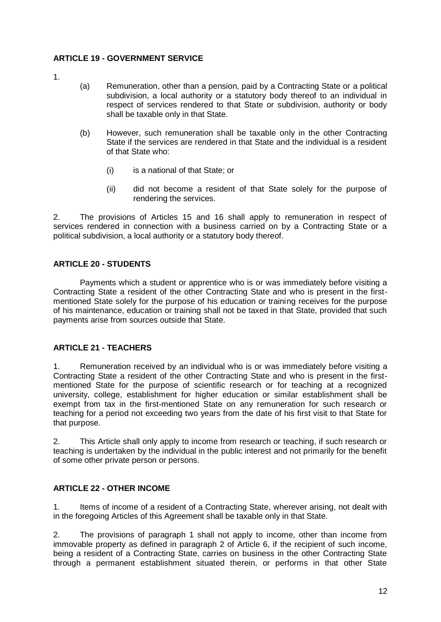### **ARTICLE 19 - GOVERNMENT SERVICE**

- 1.
- (a) Remuneration, other than a pension, paid by a Contracting State or a political subdivision, a local authority or a statutory body thereof to an individual in respect of services rendered to that State or subdivision, authority or body shall be taxable only in that State.
- (b) However, such remuneration shall be taxable only in the other Contracting State if the services are rendered in that State and the individual is a resident of that State who:
	- (i) is a national of that State; or
	- (ii) did not become a resident of that State solely for the purpose of rendering the services.

2. The provisions of Articles 15 and 16 shall apply to remuneration in respect of services rendered in connection with a business carried on by a Contracting State or a political subdivision, a local authority or a statutory body thereof.

## **ARTICLE 20 - STUDENTS**

Payments which a student or apprentice who is or was immediately before visiting a Contracting State a resident of the other Contracting State and who is present in the firstmentioned State solely for the purpose of his education or training receives for the purpose of his maintenance, education or training shall not be taxed in that State, provided that such payments arise from sources outside that State.

## **ARTICLE 21 - TEACHERS**

1. Remuneration received by an individual who is or was immediately before visiting a Contracting State a resident of the other Contracting State and who is present in the firstmentioned State for the purpose of scientific research or for teaching at a recognized university, college, establishment for higher education or similar establishment shall be exempt from tax in the first-mentioned State on any remuneration for such research or teaching for a period not exceeding two years from the date of his first visit to that State for that purpose.

2. This Article shall only apply to income from research or teaching, if such research or teaching is undertaken by the individual in the public interest and not primarily for the benefit of some other private person or persons.

## **ARTICLE 22 - OTHER INCOME**

1. Items of income of a resident of a Contracting State, wherever arising, not dealt with in the foregoing Articles of this Agreement shall be taxable only in that State.

2. The provisions of paragraph 1 shall not apply to income, other than income from immovable property as defined in paragraph 2 of Article 6, if the recipient of such income, being a resident of a Contracting State, carries on business in the other Contracting State through a permanent establishment situated therein, or performs in that other State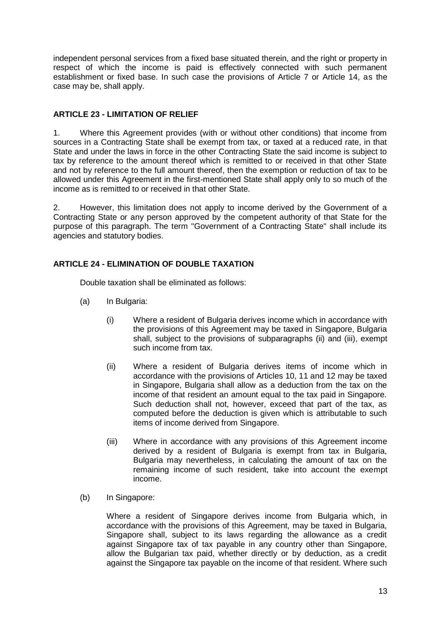independent personal services from a fixed base situated therein, and the right or property in respect of which the income is paid is effectively connected with such permanent establishment or fixed base. In such case the provisions of Article 7 or Article 14, as the case may be, shall apply.

## **ARTICLE 23 - LIMITATION OF RELIEF**

1. Where this Agreement provides (with or without other conditions) that income from sources in a Contracting State shall be exempt from tax, or taxed at a reduced rate, in that State and under the laws in force in the other Contracting State the said income is subject to tax by reference to the amount thereof which is remitted to or received in that other State and not by reference to the full amount thereof, then the exemption or reduction of tax to be allowed under this Agreement in the first-mentioned State shall apply only to so much of the income as is remitted to or received in that other State.

2. However, this limitation does not apply to income derived by the Government of a Contracting State or any person approved by the competent authority of that State for the purpose of this paragraph. The term "Government of a Contracting State" shall include its agencies and statutory bodies.

### **ARTICLE 24 - ELIMINATION OF DOUBLE TAXATION**

Double taxation shall be eliminated as follows:

- (a) In Bulgaria:
	- (i) Where a resident of Bulgaria derives income which in accordance with the provisions of this Agreement may be taxed in Singapore, Bulgaria shall, subject to the provisions of subparagraphs (ii) and (iii), exempt such income from tax.
	- (ii) Where a resident of Bulgaria derives items of income which in accordance with the provisions of Articles 10, 11 and 12 may be taxed in Singapore, Bulgaria shall allow as a deduction from the tax on the income of that resident an amount equal to the tax paid in Singapore. Such deduction shall not, however, exceed that part of the tax, as computed before the deduction is given which is attributable to such items of income derived from Singapore.
	- (iii) Where in accordance with any provisions of this Agreement income derived by a resident of Bulgaria is exempt from tax in Bulgaria, Bulgaria may nevertheless, in calculating the amount of tax on the remaining income of such resident, take into account the exempt income.
- (b) In Singapore:

Where a resident of Singapore derives income from Bulgaria which, in accordance with the provisions of this Agreement, may be taxed in Bulgaria, Singapore shall, subject to its laws regarding the allowance as a credit against Singapore tax of tax payable in any country other than Singapore, allow the Bulgarian tax paid, whether directly or by deduction, as a credit against the Singapore tax payable on the income of that resident. Where such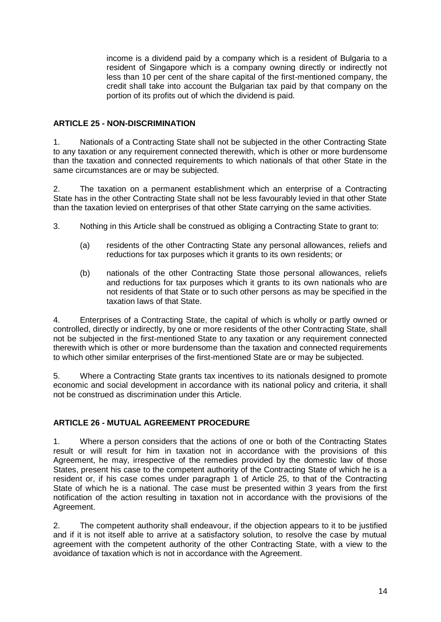income is a dividend paid by a company which is a resident of Bulgaria to a resident of Singapore which is a company owning directly or indirectly not less than 10 per cent of the share capital of the first-mentioned company, the credit shall take into account the Bulgarian tax paid by that company on the portion of its profits out of which the dividend is paid.

## **ARTICLE 25 - NON-DISCRIMINATION**

1. Nationals of a Contracting State shall not be subjected in the other Contracting State to any taxation or any requirement connected therewith, which is other or more burdensome than the taxation and connected requirements to which nationals of that other State in the same circumstances are or may be subjected.

2. The taxation on a permanent establishment which an enterprise of a Contracting State has in the other Contracting State shall not be less favourably levied in that other State than the taxation levied on enterprises of that other State carrying on the same activities.

- 3. Nothing in this Article shall be construed as obliging a Contracting State to grant to:
	- (a) residents of the other Contracting State any personal allowances, reliefs and reductions for tax purposes which it grants to its own residents; or
	- (b) nationals of the other Contracting State those personal allowances, reliefs and reductions for tax purposes which it grants to its own nationals who are not residents of that State or to such other persons as may be specified in the taxation laws of that State.

4. Enterprises of a Contracting State, the capital of which is wholly or partly owned or controlled, directly or indirectly, by one or more residents of the other Contracting State, shall not be subjected in the first-mentioned State to any taxation or any requirement connected therewith which is other or more burdensome than the taxation and connected requirements to which other similar enterprises of the first-mentioned State are or may be subjected.

5. Where a Contracting State grants tax incentives to its nationals designed to promote economic and social development in accordance with its national policy and criteria, it shall not be construed as discrimination under this Article.

#### **ARTICLE 26 - MUTUAL AGREEMENT PROCEDURE**

1. Where a person considers that the actions of one or both of the Contracting States result or will result for him in taxation not in accordance with the provisions of this Agreement, he may, irrespective of the remedies provided by the domestic law of those States, present his case to the competent authority of the Contracting State of which he is a resident or, if his case comes under paragraph 1 of Article 25, to that of the Contracting State of which he is a national. The case must be presented within 3 years from the first notification of the action resulting in taxation not in accordance with the provisions of the Agreement.

2. The competent authority shall endeavour, if the objection appears to it to be justified and if it is not itself able to arrive at a satisfactory solution, to resolve the case by mutual agreement with the competent authority of the other Contracting State, with a view to the avoidance of taxation which is not in accordance with the Agreement.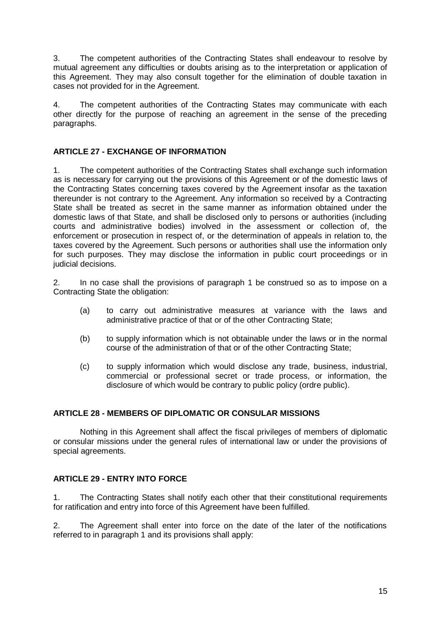3. The competent authorities of the Contracting States shall endeavour to resolve by mutual agreement any difficulties or doubts arising as to the interpretation or application of this Agreement. They may also consult together for the elimination of double taxation in cases not provided for in the Agreement.

4. The competent authorities of the Contracting States may communicate with each other directly for the purpose of reaching an agreement in the sense of the preceding paragraphs.

## **ARTICLE 27 - EXCHANGE OF INFORMATION**

1. The competent authorities of the Contracting States shall exchange such information as is necessary for carrying out the provisions of this Agreement or of the domestic laws of the Contracting States concerning taxes covered by the Agreement insofar as the taxation thereunder is not contrary to the Agreement. Any information so received by a Contracting State shall be treated as secret in the same manner as information obtained under the domestic laws of that State, and shall be disclosed only to persons or authorities (including courts and administrative bodies) involved in the assessment or collection of, the enforcement or prosecution in respect of, or the determination of appeals in relation to, the taxes covered by the Agreement. Such persons or authorities shall use the information only for such purposes. They may disclose the information in public court proceedings or in judicial decisions.

2. In no case shall the provisions of paragraph 1 be construed so as to impose on a Contracting State the obligation:

- (a) to carry out administrative measures at variance with the laws and administrative practice of that or of the other Contracting State;
- (b) to supply information which is not obtainable under the laws or in the normal course of the administration of that or of the other Contracting State;
- (c) to supply information which would disclose any trade, business, industrial, commercial or professional secret or trade process, or information, the disclosure of which would be contrary to public policy (ordre public).

## **ARTICLE 28 - MEMBERS OF DIPLOMATIC OR CONSULAR MISSIONS**

Nothing in this Agreement shall affect the fiscal privileges of members of diplomatic or consular missions under the general rules of international law or under the provisions of special agreements.

## **ARTICLE 29 - ENTRY INTO FORCE**

1. The Contracting States shall notify each other that their constitutional requirements for ratification and entry into force of this Agreement have been fulfilled.

2. The Agreement shall enter into force on the date of the later of the notifications referred to in paragraph 1 and its provisions shall apply: